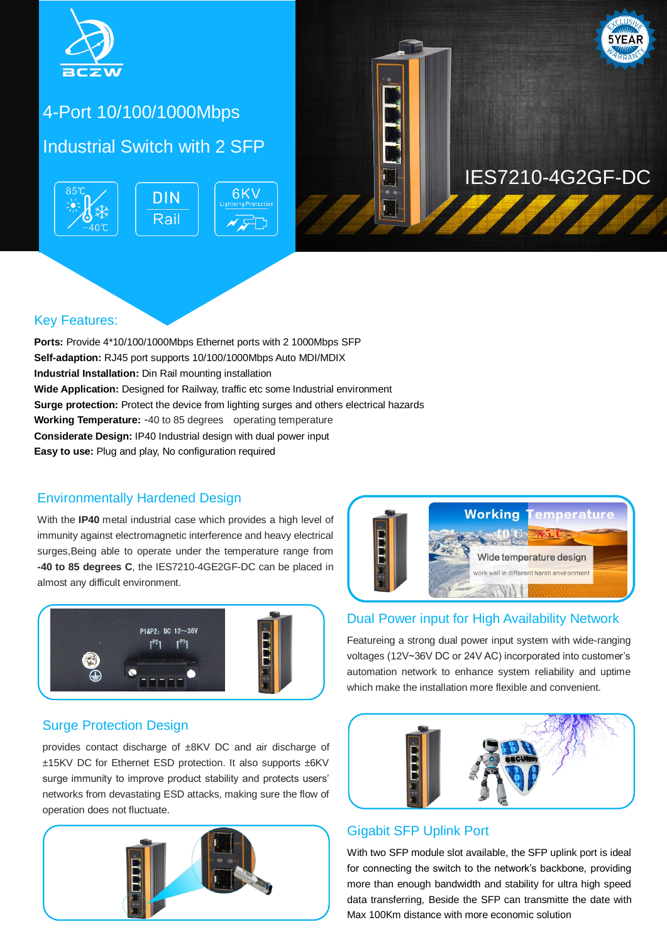

# 5-Port Gigabit POE Industrial 4-Port 10/100/1000Mbps

### Industrial Switch with 2 SFP





# IES7210-4G2GF-DC

### Key Features:

**Ports:** Provide 4\*10/100/1000Mbps Ethernet ports with 2 1000Mbps SFP **Self-adaption:** RJ45 port supports 10/100/1000Mbps Auto MDI/MDIX **Industrial Installation:** Din Rail mounting installation **Wide Application:** Designed for Railway, traffic etc some Industrial environment **Surge protection:** Protect the device from lighting surges and others electrical hazards **Working Temperature:** -40 to 85 degrees operating temperature **Considerate Design:** IP40 Industrial design with dual power input **Easy to use:** Plug and play, No configuration required

#### Environmentally Hardened Design

With the **IP40** metal industrial case which provides a high level of immunity against electromagnetic interference and heavy electrical surges,Being able to operate under the temperature range from **-40 to 85 degrees C**, the IES7210-4GE2GF-DC can be placed in almost any difficult environment.



### Surge Protection Design

provides contact discharge of ±8KV DC and air discharge of ±15KV DC for Ethernet ESD protection. It also supports ±6KV surge immunity to improve product stability and protects users' networks from devastating ESD attacks, making sure the flow of operation does not fluctuate.





#### Dual Power input for High Availability Network

Featureing a strong dual power input system with wide-ranging voltages (12V~36V DC or 24V AC) incorporated into customer's automation network to enhance system reliability and uptime which make the installation more flexible and convenient.



#### Gigabit SFP Uplink Port

With two SFP module slot available, the SFP uplink port is ideal for connecting the switch to the network's backbone, providing more than enough bandwidth and stability for ultra high speed data transferring, Beside the SFP can transmitte the date with Max 100Km distance with more economic solution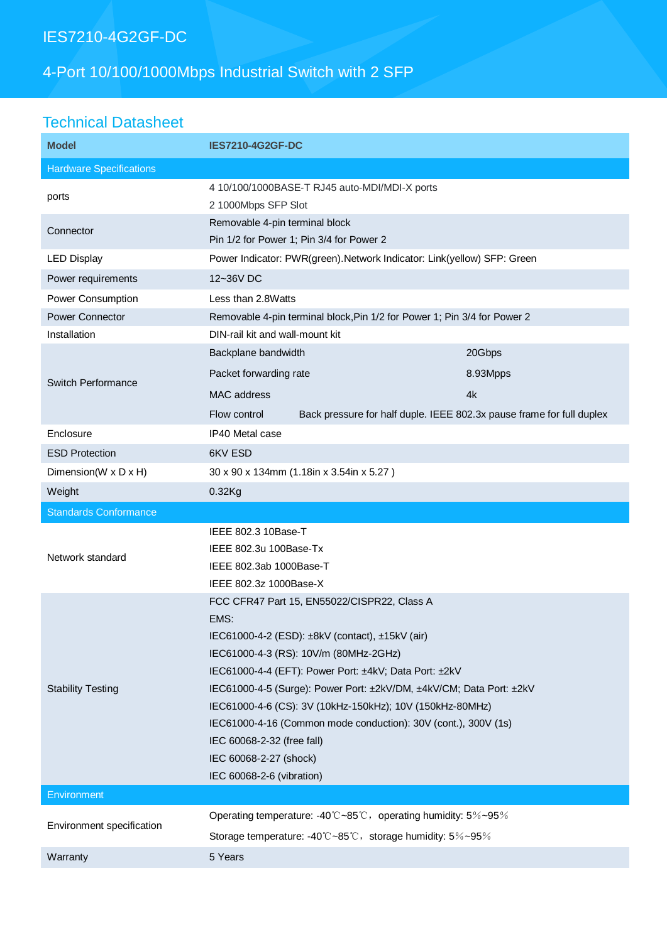## IES7210-4G2GF-DC

# 4-Port 10/100/1000Mbps Industrial Switch with 2 SFP

## Technical Datasheet

| <b>Model</b>                   | <b>IES7210-4G2GF-DC</b>                                                               |          |
|--------------------------------|---------------------------------------------------------------------------------------|----------|
| <b>Hardware Specifications</b> |                                                                                       |          |
| ports                          | 4 10/100/1000BASE-T RJ45 auto-MDI/MDI-X ports<br>2 1000Mbps SFP Slot                  |          |
| Connector                      | Removable 4-pin terminal block<br>Pin 1/2 for Power 1; Pin 3/4 for Power 2            |          |
| <b>LED Display</b>             | Power Indicator: PWR(green). Network Indicator: Link(yellow) SFP: Green               |          |
| Power requirements             | 12~36V DC                                                                             |          |
| Power Consumption              | Less than 2.8Watts                                                                    |          |
| <b>Power Connector</b>         | Removable 4-pin terminal block, Pin 1/2 for Power 1; Pin 3/4 for Power 2              |          |
| Installation                   | DIN-rail kit and wall-mount kit                                                       |          |
| Switch Performance             | Backplane bandwidth                                                                   | 20Gbps   |
|                                | Packet forwarding rate                                                                | 8.93Mpps |
|                                | MAC address                                                                           | 4k       |
|                                | Back pressure for half duple. IEEE 802.3x pause frame for full duplex<br>Flow control |          |
| Enclosure                      | IP40 Metal case                                                                       |          |
| <b>ESD Protection</b>          | 6KV ESD                                                                               |          |
| Dimension(W x D x H)           | 30 x 90 x 134mm (1.18in x 3.54in x 5.27)                                              |          |
| Weight                         | $0.32$ Kg                                                                             |          |
|                                |                                                                                       |          |
| <b>Standards Conformance</b>   |                                                                                       |          |
|                                | IEEE 802.3 10Base-T                                                                   |          |
|                                | IEEE 802.3u 100Base-Tx                                                                |          |
| Network standard               | IEEE 802.3ab 1000Base-T                                                               |          |
|                                | IEEE 802.3z 1000Base-X                                                                |          |
|                                | FCC CFR47 Part 15, EN55022/CISPR22, Class A                                           |          |
|                                | EMS:                                                                                  |          |
|                                | IEC61000-4-2 (ESD): ±8kV (contact), ±15kV (air)                                       |          |
|                                | IEC61000-4-3 (RS): 10V/m (80MHz-2GHz)                                                 |          |
|                                | IEC61000-4-4 (EFT): Power Port: ±4kV; Data Port: ±2kV                                 |          |
| <b>Stability Testing</b>       | IEC61000-4-5 (Surge): Power Port: ±2kV/DM, ±4kV/CM; Data Port: ±2kV                   |          |
|                                | IEC61000-4-6 (CS): 3V (10kHz-150kHz); 10V (150kHz-80MHz)                              |          |
|                                | IEC61000-4-16 (Common mode conduction): 30V (cont.), 300V (1s)                        |          |
|                                | IEC 60068-2-32 (free fall)                                                            |          |
|                                | IEC 60068-2-27 (shock)<br>IEC 60068-2-6 (vibration)                                   |          |
| Environment                    |                                                                                       |          |
|                                | Operating temperature: -40°C~85°C, operating humidity: 5%~95%                         |          |
| Environment specification      | Storage temperature: -40°C~85°C, storage humidity: 5%~95%                             |          |
| Warranty                       | 5 Years                                                                               |          |